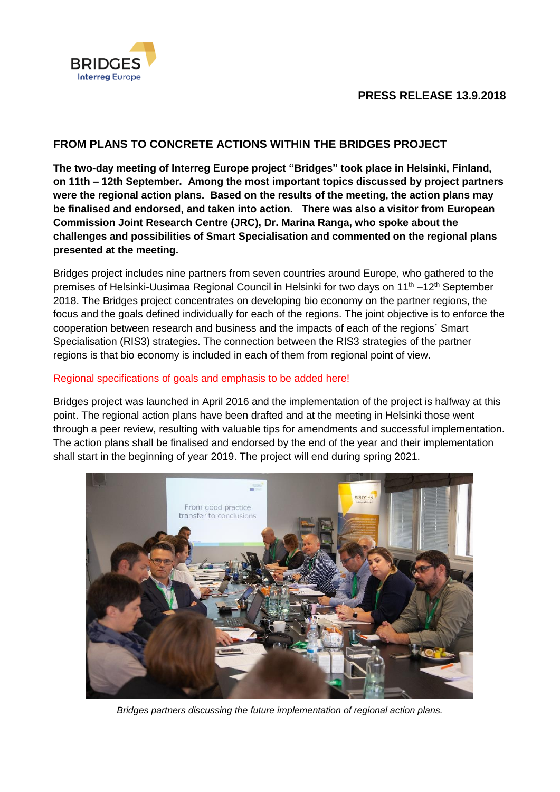

# **FROM PLANS TO CONCRETE ACTIONS WITHIN THE BRIDGES PROJECT**

**The two-day meeting of Interreg Europe project "Bridges" took place in Helsinki, Finland, on 11th – 12th September. Among the most important topics discussed by project partners were the regional action plans. Based on the results of the meeting, the action plans may be finalised and endorsed, and taken into action. There was also a visitor from European Commission Joint Research Centre (JRC), Dr. Marina Ranga, who spoke about the challenges and possibilities of Smart Specialisation and commented on the regional plans presented at the meeting.**

Bridges project includes nine partners from seven countries around Europe, who gathered to the premises of Helsinki-Uusimaa Regional Council in Helsinki for two days on 11<sup>th</sup> –12<sup>th</sup> September 2018. The Bridges project concentrates on developing bio economy on the partner regions, the focus and the goals defined individually for each of the regions. The joint objective is to enforce the cooperation between research and business and the impacts of each of the regions´ Smart Specialisation (RIS3) strategies. The connection between the RIS3 strategies of the partner regions is that bio economy is included in each of them from regional point of view.

#### Regional specifications of goals and emphasis to be added here!

Bridges project was launched in April 2016 and the implementation of the project is halfway at this point. The regional action plans have been drafted and at the meeting in Helsinki those went through a peer review, resulting with valuable tips for amendments and successful implementation. The action plans shall be finalised and endorsed by the end of the year and their implementation shall start in the beginning of year 2019. The project will end during spring 2021.



*Bridges partners discussing the future implementation of regional action plans.*